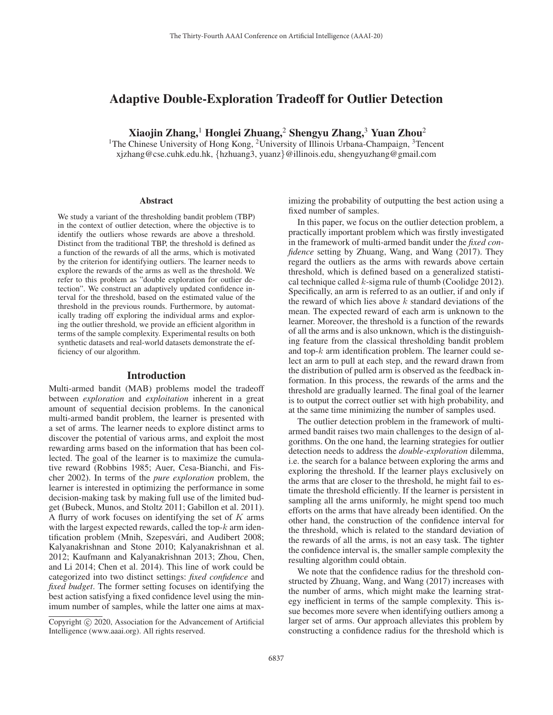# Adaptive Double-Exploration Tradeoff for Outlier Detection

Xiaojin Zhang,<sup>1</sup> Honglei Zhuang,<sup>2</sup> Shengyu Zhang,<sup>3</sup> Yuan Zhou<sup>2</sup>

<sup>1</sup>The Chinese University of Hong Kong, <sup>2</sup>University of Illinois Urbana-Champaign, <sup>3</sup>Tencent xjzhang@cse.cuhk.edu.hk, {hzhuang3, yuanz}@illinois.edu, shengyuzhang@gmail.com

#### Abstract

We study a variant of the thresholding bandit problem (TBP) in the context of outlier detection, where the objective is to identify the outliers whose rewards are above a threshold. Distinct from the traditional TBP, the threshold is defined as a function of the rewards of all the arms, which is motivated by the criterion for identifying outliers. The learner needs to explore the rewards of the arms as well as the threshold. We refer to this problem as "double exploration for outlier detection". We construct an adaptively updated confidence interval for the threshold, based on the estimated value of the threshold in the previous rounds. Furthermore, by automatically trading off exploring the individual arms and exploring the outlier threshold, we provide an efficient algorithm in terms of the sample complexity. Experimental results on both synthetic datasets and real-world datasets demonstrate the efficiency of our algorithm.

#### Introduction

Multi-armed bandit (MAB) problems model the tradeoff between *exploration* and *exploitation* inherent in a great amount of sequential decision problems. In the canonical multi-armed bandit problem, the learner is presented with a set of arms. The learner needs to explore distinct arms to discover the potential of various arms, and exploit the most rewarding arms based on the information that has been collected. The goal of the learner is to maximize the cumulative reward (Robbins 1985; Auer, Cesa-Bianchi, and Fischer 2002). In terms of the *pure exploration* problem, the learner is interested in optimizing the performance in some decision-making task by making full use of the limited budget (Bubeck, Munos, and Stoltz 2011; Gabillon et al. 2011). A flurry of work focuses on identifying the set of  $K$  arms with the largest expected rewards, called the top- $k$  arm identification problem (Mnih, Szepesvári, and Audibert 2008; Kalyanakrishnan and Stone 2010; Kalyanakrishnan et al. 2012; Kaufmann and Kalyanakrishnan 2013; Zhou, Chen, and Li 2014; Chen et al. 2014). This line of work could be categorized into two distinct settings: *fixed confidence* and *fixed budget*. The former setting focuses on identifying the best action satisfying a fixed confidence level using the minimum number of samples, while the latter one aims at maximizing the probability of outputting the best action using a fixed number of samples.

In this paper, we focus on the outlier detection problem, a practically important problem which was firstly investigated in the framework of multi-armed bandit under the *fixed confidence* setting by Zhuang, Wang, and Wang (2017). They regard the outliers as the arms with rewards above certain threshold, which is defined based on a generalized statistical technique called  $k$ -sigma rule of thumb (Coolidge 2012). Specifically, an arm is referred to as an outlier, if and only if the reward of which lies above  $k$  standard deviations of the mean. The expected reward of each arm is unknown to the learner. Moreover, the threshold is a function of the rewards of all the arms and is also unknown, which is the distinguishing feature from the classical thresholding bandit problem and top- $k$  arm identification problem. The learner could select an arm to pull at each step, and the reward drawn from the distribution of pulled arm is observed as the feedback information. In this process, the rewards of the arms and the threshold are gradually learned. The final goal of the learner is to output the correct outlier set with high probability, and at the same time minimizing the number of samples used.

The outlier detection problem in the framework of multiarmed bandit raises two main challenges to the design of algorithms. On the one hand, the learning strategies for outlier detection needs to address the *double-exploration* dilemma, i.e. the search for a balance between exploring the arms and exploring the threshold. If the learner plays exclusively on the arms that are closer to the threshold, he might fail to estimate the threshold efficiently. If the learner is persistent in sampling all the arms uniformly, he might spend too much efforts on the arms that have already been identified. On the other hand, the construction of the confidence interval for the threshold, which is related to the standard deviation of the rewards of all the arms, is not an easy task. The tighter the confidence interval is, the smaller sample complexity the resulting algorithm could obtain.

We note that the confidence radius for the threshold constructed by Zhuang, Wang, and Wang (2017) increases with the number of arms, which might make the learning strategy inefficient in terms of the sample complexity. This issue becomes more severe when identifying outliers among a larger set of arms. Our approach alleviates this problem by constructing a confidence radius for the threshold which is

Copyright  $\odot$  2020, Association for the Advancement of Artificial Intelligence (www.aaai.org). All rights reserved.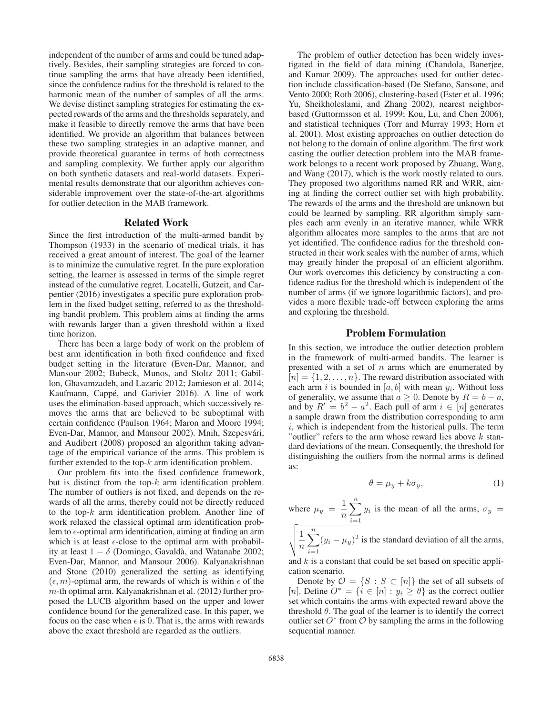independent of the number of arms and could be tuned adaptively. Besides, their sampling strategies are forced to continue sampling the arms that have already been identified, since the confidence radius for the threshold is related to the harmonic mean of the number of samples of all the arms. We devise distinct sampling strategies for estimating the expected rewards of the arms and the thresholds separately, and make it feasible to directly remove the arms that have been identified. We provide an algorithm that balances between these two sampling strategies in an adaptive manner, and provide theoretical guarantee in terms of both correctness and sampling complexity. We further apply our algorithm on both synthetic datasets and real-world datasets. Experimental results demonstrate that our algorithm achieves considerable improvement over the state-of-the-art algorithms for outlier detection in the MAB framework.

### Related Work

Since the first introduction of the multi-armed bandit by Thompson (1933) in the scenario of medical trials, it has received a great amount of interest. The goal of the learner is to minimize the cumulative regret. In the pure exploration setting, the learner is assessed in terms of the simple regret instead of the cumulative regret. Locatelli, Gutzeit, and Carpentier (2016) investigates a specific pure exploration problem in the fixed budget setting, referred to as the thresholding bandit problem. This problem aims at finding the arms with rewards larger than a given threshold within a fixed time horizon.

There has been a large body of work on the problem of best arm identification in both fixed confidence and fixed budget setting in the literature (Even-Dar, Mannor, and Mansour 2002; Bubeck, Munos, and Stoltz 2011; Gabillon, Ghavamzadeh, and Lazaric 2012; Jamieson et al. 2014; Kaufmann, Cappé, and Garivier 2016). A line of work uses the elimination-based approach, which successively removes the arms that are believed to be suboptimal with certain confidence (Paulson 1964; Maron and Moore 1994; Even-Dar, Mannor, and Mansour 2002). Mnih, Szepesvári, and Audibert (2008) proposed an algorithm taking advantage of the empirical variance of the arms. This problem is further extended to the top- $k$  arm identification problem.

Our problem fits into the fixed confidence framework, but is distinct from the top- $k$  arm identification problem. The number of outliers is not fixed, and depends on the rewards of all the arms, thereby could not be directly reduced to the top- $k$  arm identification problem. Another line of work relaxed the classical optimal arm identification problem to  $\epsilon$ -optimal arm identification, aiming at finding an arm which is at least  $\epsilon$ -close to the optimal arm with probability at least  $1 - \delta$  (Domingo, Gavaldà, and Watanabe 2002; Even-Dar, Mannor, and Mansour 2006). Kalyanakrishnan and Stone (2010) generalized the setting as identifying  $(\epsilon, m)$ -optimal arm, the rewards of which is within  $\epsilon$  of the m-th optimal arm Kalvanakrishnan et al. (2012) further prom-th optimal arm. Kalyanakrishnan et al. (2012) further proposed the LUCB algorithm based on the upper and lower confidence bound for the generalized case. In this paper, we focus on the case when  $\epsilon$  is 0. That is, the arms with rewards above the exact threshold are regarded as the outliers above the exact threshold are regarded as the outliers.

tigated in the field of data mining (Chandola, Banerjee, and Kumar 2009). The approaches used for outlier detection include classification-based (De Stefano, Sansone, and Vento 2000; Roth 2006), clustering-based (Ester et al. 1996; Yu, Sheikholeslami, and Zhang 2002), nearest neighborbased (Guttormsson et al. 1999; Kou, Lu, and Chen 2006), and statistical techniques (Torr and Murray 1993; Horn et al. 2001). Most existing approaches on outlier detection do not belong to the domain of online algorithm. The first work casting the outlier detection problem into the MAB framework belongs to a recent work proposed by Zhuang, Wang, and Wang (2017), which is the work mostly related to ours. They proposed two algorithms named RR and WRR, aiming at finding the correct outlier set with high probability. The rewards of the arms and the threshold are unknown but could be learned by sampling. RR algorithm simply samples each arm evenly in an iterative manner, while WRR algorithm allocates more samples to the arms that are not yet identified. The confidence radius for the threshold constructed in their work scales with the number of arms, which may greatly hinder the proposal of an efficient algorithm. Our work overcomes this deficiency by constructing a confidence radius for the threshold which is independent of the number of arms (if we ignore logarithmic factors), and provides a more flexible trade-off between exploring the arms and exploring the threshold.

The problem of outlier detection has been widely inves-

# Problem Formulation

In this section, we introduce the outlier detection problem in the framework of multi-armed bandits. The learner is presented with a set of  $n$  arms which are enumerated by  $[n] = \{1, 2, \ldots, n\}$ . The reward distribution associated with each arm i is bounded in  $[a, b]$  with mean  $y_i$ . Without loss of generality, we assume that  $a \ge 0$ . Denote by  $R = b - a$ , and by  $R' = b^2 - a^2$ . Each pull of arm  $i \in [n]$  generates a sample drawn from the distribution corresponding to arm a sample drawn from the distribution corresponding to arm  $i$ , which is independent from the historical pulls. The term "outlier" refers to the arm whose reward lies above  $k$  standard deviations of the mean. Consequently, the threshold for distinguishing the outliers from the normal arms is defined as:

$$
\theta = \mu_y + k\sigma_y,\tag{1}
$$

where  $\mu_y = \frac{1}{n}$  $\sum$ n  $\sum_{i=1} y_i$  is the mean of all the arms,  $\sigma_y =$ n

 $\sqrt{\frac{1}{n}}$  $\sum$  $\sum_{i=1}^{n} (y_i - \mu_y)^2$  is the standard deviation of all the arms,

and  $k$  is a constant that could be set based on specific application scenario.

Denote by  $\mathcal{O} = \{S : S \subset [n]\}$  the set of all subsets of [n]. Define  $O^* = \{i \in [n] : y_i \geq \theta\}$  as the correct outlier set which contains the arms with expected reward above the threshold  $\theta$ . The goal of the learner is to identify the correct outlier set  $O^*$  from  $O$  by sampling the arms in the following sequential manner.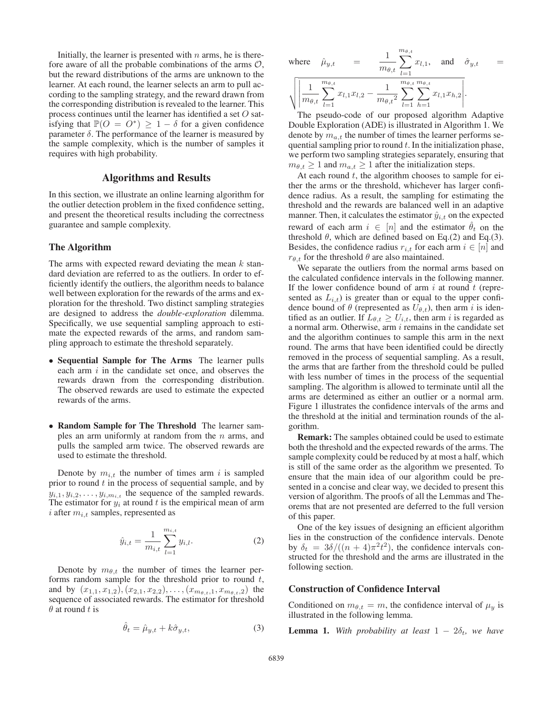Initially, the learner is presented with  $n$  arms, he is therefore aware of all the probable combinations of the arms  $\mathcal{O}$ , but the reward distributions of the arms are unknown to the learner. At each round, the learner selects an arm to pull according to the sampling strategy, and the reward drawn from the corresponding distribution is revealed to the learner. This process continues until the learner has identified a set O satisfying that  $\mathbb{P}(O = O^*) \geq 1 - \delta$  for a given confidence parameter  $\delta$ . The performance of the learner is measured by the sample complexity, which is the number of samples it requires with high probability.

# Algorithms and Results

In this section, we illustrate an online learning algorithm for the outlier detection problem in the fixed confidence setting, and present the theoretical results including the correctness guarantee and sample complexity.

#### The Algorithm

The arms with expected reward deviating the mean  $k$  standard deviation are referred to as the outliers. In order to efficiently identify the outliers, the algorithm needs to balance well between exploration for the rewards of the arms and exploration for the threshold. Two distinct sampling strategies are designed to address the *double-exploration* dilemma. Specifically, we use sequential sampling approach to estimate the expected rewards of the arms, and random sampling approach to estimate the threshold separately.

- Sequential Sample for The Arms The learner pulls each arm  $i$  in the candidate set once, and observes the rewards drawn from the corresponding distribution. The observed rewards are used to estimate the expected rewards of the arms.
- Random Sample for The Threshold The learner samples an arm uniformly at random from the  $n$  arms, and pulls the sampled arm twice. The observed rewards are used to estimate the threshold.

Denote by  $m_{i,t}$  the number of times arm i is sampled prior to round  $t$  in the process of sequential sample, and by  $y_{i,1}, y_{i,2}, \ldots, y_{i,m_{i,t}}$  the sequence of the sampled rewards. The estimator for  $y_i$  at round t is the empirical mean of arm i after  $m_{i,t}$  samples, represented as

$$
\hat{y}_{i,t} = \frac{1}{m_{i,t}} \sum_{l=1}^{m_{i,t}} y_{i,l}.
$$
 (2)

Denote by  $m_{\theta,t}$  the number of times the learner performs random sample for the threshold prior to round  $t$ , and by  $(x_{1,1}, x_{1,2}), (x_{2,1}, x_{2,2}), \ldots, (x_{m_{\theta,t},1}, x_{m_{\theta,t},2})$  the sequence of associated rewards. The estimator for threshold  $\theta$  at round t is

$$
\hat{\theta}_t = \hat{\mu}_{y,t} + k\hat{\sigma}_{y,t},\tag{3}
$$

where 
$$
\hat{\mu}_{y,t} = \frac{1}{m_{\theta,t}} \sum_{l=1}^{m_{\theta,t}} x_{l,1}
$$
, and  $\hat{\sigma}_{y,t} = \sqrt{\left| \frac{1}{m_{\theta,t}} \sum_{l=1}^{m_{\theta,t}} x_{l,1} x_{l,2} - \frac{1}{m_{\theta,t}^2} \sum_{l=1}^{m_{\theta,t}} \sum_{h=1}^{m_{\theta,t}} x_{l,1} x_{h,2} \right|}.$ 

The pseudo-code of our proposed algorithm Adaptive Double Exploration (ADE) is illustrated in Algorithm 1. We denote by  $m_{a,t}$  the number of times the learner performs sequential sampling prior to round  $t$ . In the initialization phase, we perform two sampling strategies separately, ensuring that  $m_{\theta,t} \geq 1$  and  $m_{a,t} \geq 1$  after the initialization steps.

At each round  $t$ , the algorithm chooses to sample for either the arms or the threshold, whichever has larger confidence radius. As a result, the sampling for estimating the threshold and the rewards are balanced well in an adaptive manner. Then, it calculates the estimator  $\hat{y}_{i,t}$  on the expected reward of each arm  $i \in [n]$  and the estimator  $\theta_t$  on the threshold  $\theta$ , which are defined based on Eq.(2) and Eq.(3). Besides, the confidence radius  $r_{i,t}$  for each arm  $i \in [n]$  and  $r_{\theta,t}$  for the threshold  $\theta$  are also maintained.

We separate the outliers from the normal arms based on the calculated confidence intervals in the following manner. If the lower confidence bound of arm  $i$  at round  $t$  (represented as  $L_{i,t}$ ) is greater than or equal to the upper confidence bound of  $\theta$  (represented as  $U_{\theta,t}$ ), then arm i is identified as an outlier. If  $L_{\theta,t} \ge U_{i,t}$ , then arm i is regarded as a normal arm. Otherwise, arm  $i$  remains in the candidate set and the algorithm continues to sample this arm in the next round. The arms that have been identified could be directly removed in the process of sequential sampling. As a result, the arms that are farther from the threshold could be pulled with less number of times in the process of the sequential sampling. The algorithm is allowed to terminate until all the arms are determined as either an outlier or a normal arm. Figure 1 illustrates the confidence intervals of the arms and the threshold at the initial and termination rounds of the algorithm.

Remark: The samples obtained could be used to estimate both the threshold and the expected rewards of the arms. The sample complexity could be reduced by at most a half, which is still of the same order as the algorithm we presented. To ensure that the main idea of our algorithm could be presented in a concise and clear way, we decided to present this version of algorithm. The proofs of all the Lemmas and Theorems that are not presented are deferred to the full version of this paper.

One of the key issues of designing an efficient algorithm lies in the construction of the confidence intervals. Denote by  $\delta_t = 3\delta/((n+4)\pi^2 t^2)$ , the confidence intervals constructed for the threshold and the arms are illustrated in the structed for the threshold and the arms are illustrated in the following section.

#### Construction of Confidence Interval

Conditioned on  $m_{\theta,t} = m$ , the confidence interval of  $\mu_y$  is illustrated in the following lemma.

**Lemma 1.** With probability at least  $1 - 2\delta_t$ , we have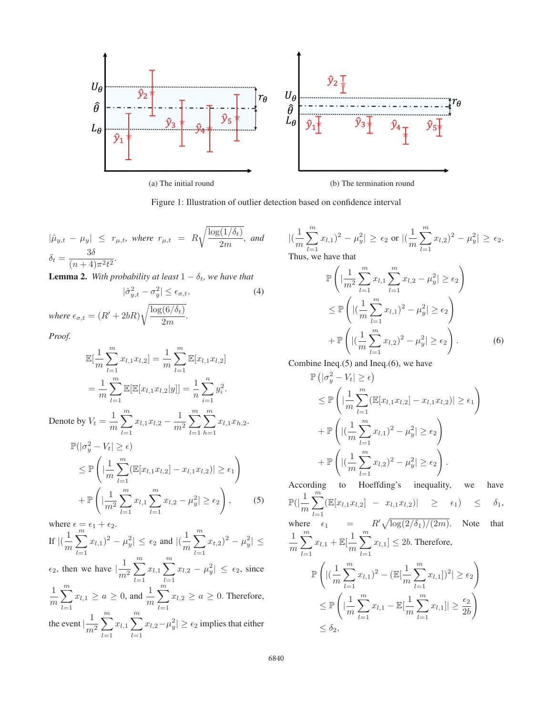

Figure 1: Illustration of outlier detection based on confidence interval

 $|\hat{\mu}_{y,t} - \mu_y| \leq r_{\mu,t}$ , where  $r_{\mu,t} = R \sqrt{\frac{\log(1/\delta_t)}{2m}}$  $\frac{1}{2m}$ , and  $\left| \left( \frac{1}{m} \right) \right|$  $\delta_t = \frac{3\delta}{(n+4)\pi^2 t^2}.$ <br> **I** surved  $\mathbf{3}$  *With*  $\mathbf{5}$ 

**Lemma 2.** *With probability at least*  $1 - \delta_t$ *, we have that* 

$$
|\hat{\sigma}_{y,t}^2 - \sigma_y^2| \le \epsilon_{\sigma,t},\tag{4}
$$

*where*  $\epsilon_{\sigma,t} = (R' + 2bR)\sqrt{\frac{\log(6/\delta_t)}{2m}}$  $\frac{\left( \frac{1}{2} \right)}{2m}$ .

*Proof.*

$$
\mathbb{E}[\frac{1}{m}\sum_{l=1}^{m}x_{l,1}x_{l,2}] = \frac{1}{m}\sum_{l=1}^{m}\mathbb{E}[x_{l,1}x_{l,2}]
$$
  
= 
$$
\frac{1}{m}\sum_{l=1}^{m}\mathbb{E}[\mathbb{E}[x_{l,1}x_{l,2}|y]] = \frac{1}{n}\sum_{i=1}^{n}y_i^2.
$$

Denote by  $V_t = \frac{1}{m}$  $\sum$  $_{l=1}$  $x_{l,1}x_{l,2}-\frac{1}{m^2}$  $\sum$  $_{l=1}$  $\sum$  $h=1$  $x_{l,1}x_{h,2}$ .

$$
\mathbb{P}(|\sigma_y^2 - V_t| \ge \epsilon) \n\le \mathbb{P}\left(|\frac{1}{m}\sum_{l=1}^m (\mathbb{E}[x_{l,1}x_{l,2}] - x_{l,1}x_{l,2})| \ge \epsilon_1\right) \n+ \mathbb{P}\left(|\frac{1}{m^2}\sum_{l=1}^m x_{l,1}\sum_{l=1}^m x_{l,2} - \mu_y^2| \ge \epsilon_2\right),
$$
\n(5)

where  $\epsilon = \epsilon_1 + \epsilon_2$ . If  $\left| \left( \frac{1}{m} \right) \right|$  $\sum$ m  $\sum_{l=1} x_{l,1})^2 - \mu_y^2 \le \epsilon_2$  and  $|(\frac{1}{m})$  $\sum$ m  $\sum_{l=1} x_{t,2})^2 - \mu_y^2 \leq$  $\epsilon_2$ , then we have  $\left| \frac{1}{m^2} \right|$  $\sum$ m  $l=1$  $x_{l,1} \sum$ m  $_{l=1}$  $x_{l,2} - \mu_y^2 \leq \epsilon_2$ , since  $\frac{1}{m}$  $\sum$ m  $\sum_{l=1}^{n} x_{l,1} \ge a \ge 0$ , and  $\frac{1}{m}$  $\sum$ m  $\sum_{l=1} x_{l,2} \ge a \ge 0$ . Therefore, the event  $\left| \frac{1}{m^2} \right|$  $\sum$ m  $_{l=1}$  $x_{l,1} \sum$ m  $_{l=1}$  $|x_{l,2}-\mu_y^2|\geq \epsilon_2$  implies that either

 $\sum$ m  $\sum_{l=1}^{\infty} x_{l,1}^2 \big)^2 - \mu_y^2 \big| \ge \epsilon_2 \text{ or } \big| \big(\frac{1}{m}\big)$  $\sum$ m  $\sum_{l=1} x_{l,2})^2 - \mu_y^2 \vert \ge \epsilon_2.$ Thus, we have that

$$
\mathbb{P}\left(|\frac{1}{m^2}\sum_{l=1}^m x_{l,1}\sum_{l=1}^m x_{l,2} - \mu_y^2| \ge \epsilon_2\right) \n\le \mathbb{P}\left(|(\frac{1}{m}\sum_{l=1}^m x_{l,1})^2 - \mu_y^2| \ge \epsilon_2\right) \n+ \mathbb{P}\left(|(\frac{1}{m}\sum_{l=1}^m x_{l,2})^2 - \mu_y^2| \ge \epsilon_2\right).
$$
\n(6)

Combine Ineq.(5) and Ineq.(6), we have

$$
\mathbb{P}\left(|\sigma_y^2 - V_t| \geq \epsilon\right)
$$
\n
$$
\leq \mathbb{P}\left(|\frac{1}{m}\sum_{l=1}^m (\mathbb{E}[x_{l,1}x_{l,2}] - x_{l,1}x_{l,2})| \geq \epsilon_1\right)
$$
\n
$$
+ \mathbb{P}\left(|(\frac{1}{m}\sum_{l=1}^m x_{l,1})^2 - \mu_y^2| \geq \epsilon_2\right)
$$
\n
$$
+ \mathbb{P}\left(|(\frac{1}{m}\sum_{l=1}^m x_{l,2})^2 - \mu_y^2| \geq \epsilon_2\right).
$$

According to Hoeffding's inequality, we have  $\mathbb{P}(|\frac{1}{m}$  $\sum$ m  $\sum_{l=1} [\mathbb{E}[x_{l,1}x_{l,2}] - x_{l,1}x_{l,2}] \geq \epsilon_1 \leq \delta_1,$ where  $\epsilon_1$  =  $\binom{R'}{\log(2/\delta_1)/(2m)}$ . Note that  $\frac{1}{m}$  $\sum$ m  $\sum_{l=1} x_{l,1} + \mathbb{E}[\frac{1}{m}]$  $\sum$ m  $\sum_{l=1} x_{l,1} \leq 2b$ . Therefore,  $_{\mathbb{P}}\bigl($  $\vert(\frac{1}{m}\vert)$  $\sum$ m  $\sum_{l=1} x_{l,1})^2 - (\mathbb{E}[\frac{1}{m}]$  $\sum$ m  $\sum_{l=1}^{\infty} x_{l,1}$ ])<sup>2</sup> $| \geq \epsilon_2$  $\setminus$  $\leq \mathbb{P}$  $\frac{1}{m}$  $\sum$ m  $\sum_{l=1} x_{l,1} - \mathbb{E}[\frac{1}{m}]$  $\sum$ m  $\sum_{l=1}^m x_{l,1}$ ]  $\geq \frac{\epsilon_2}{2b}$  $^{2b}$  $\setminus$  $\leq \delta_2,$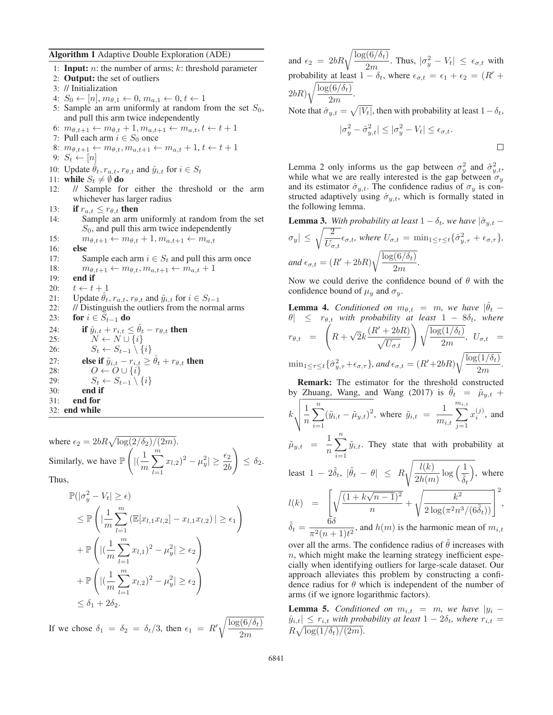Algorithm 1 Adaptive Double Exploration (ADE)

1: **Input:**  $n$ : the number of arms;  $k$ : threshold parameter 2: Output: the set of outliers 3: // Initialization 4:  $S_0 \leftarrow [n], m_{\theta,1} \leftarrow 0, m_{a,1} \leftarrow 0, t \leftarrow 1$ 5: Sample an arm uniformly at random from the set  $S_0$ , and pull this arm twice independently 6:  $m_{\theta,t+1} \leftarrow m_{\theta,t} + 1, m_{a,t+1} \leftarrow m_{a,t}, t \leftarrow t + 1$ 7: Pull each arm  $i \in S_0$  once 8:  $m_{\theta,t+1} \leftarrow m_{\theta,t}, m_{a,t+1} \leftarrow m_{a,t} + 1, t \leftarrow t + 1$ 9:  $S_t \leftarrow [n]$ 10: Update  $\hat{\theta}_t$ ,  $r_{a,t}$ ,  $r_{\theta,t}$  and  $\hat{y}_{i,t}$  for  $i \in S_t$ 11: **while**  $S_t \neq \emptyset$  **do**<br>12: // **Sample** fo // Sample for either the threshold or the arm whichever has larger radius 13: **if**  $r_{a,t} \leq r_{\theta,t}$  **then**<br>14: **Sample an arm** Sample an arm uniformly at random from the set  $S_0$ , and pull this arm twice independently 15:  $m_{\theta,t+1} \leftarrow m_{\theta,t} + 1, m_{a,t+1} \leftarrow m_{a,t}$ <br>16: **else** else 17: Sample each arm  $i \in S_t$  and pull this arm once 18:  $m_{\theta,t+1} \leftarrow m_{\theta,t}, m_{a,t+1} \leftarrow m_{a,t} + 1$ <br>19: **end if** end if 20:  $t \leftarrow t + 1$ <br>21: Update  $\hat{\theta}_t$ 21: Update  $\hat{\theta}_t$ ,  $r_{a,t}$ ,  $r_{\theta,t}$  and  $\hat{y}_{i,t}$  for  $i \in S_{t-1}$ <br>22: // Distinguish the outliers from the norm: // Distinguish the outliers from the normal arms 23: **for**  $i \in S_{t-1}$  **do** 24: **if**  $\hat{y}_{i,t} + r_{i,t} \leq \theta_t - r_{\theta,t}$  **then**<br>25:  $N \leftarrow N \cup \{i\}$ 26:  $S_t \leftarrow S_{t-1} \setminus \{i\}$ <br>27: **else if**  $\hat{y}_{i,t} - r_{i,t} >$ 27: **else if**  $\hat{y}_{i,t} - r_{i,t} \ge \hat{\theta}_t + r_{\theta,t}$  then<br>
28:  $O \leftarrow O \cup \{i\}$  $O \leftarrow O \cup \{i\}$ 29:  $S_t \leftarrow S_{t-1} \setminus \{i\}$ <br>30: **end if** end if 31: end for 32: end while

where  $\epsilon_2 = 2bR\sqrt{\log(2/\delta_2)/(2m)}$ . Similarly, we have  $\mathbb{P}\left(\right)$  $\vert(\frac{1}{m}\vert)$  $\sum$ m  $\sum_{l=1}^{m} x_{l,2}^{} )^2 - \mu_y^2 \geq \frac{\epsilon_2}{2b}$  $^{2b}$  $\setminus$  $\leq \delta_2$ . Thus,

$$
\mathbb{P}(|\sigma_y^2 - V_t| \ge \epsilon)
$$
\n
$$
\le \mathbb{P}\left(|\frac{1}{m}\sum_{l=1}^m (\mathbb{E}[x_{l,1}x_{l,2}] - x_{l,1}x_{l,2})| \ge \epsilon_1\right)
$$
\n
$$
+ \mathbb{P}\left(|(\frac{1}{m}\sum_{l=1}^m x_{l,1})^2 - \mu_y^2| \ge \epsilon_2\right)
$$
\n
$$
+ \mathbb{P}\left(|(\frac{1}{m}\sum_{l=1}^m x_{l,2})^2 - \mu_y^2| \ge \epsilon_2\right)
$$
\n
$$
\le \delta_1 + 2\delta_2.
$$

If we chose  $\delta_1 = \delta_2 = \delta_t/3$ , then  $\epsilon_1 = R' \sqrt{\frac{\log(6/\delta_t)}{2m}}$  $2m$ 

and  $\epsilon_2 = 2bR\sqrt{\frac{\log(6/\delta_t)}{2m}}$ . Thus,  $|\sigma_y^2 - V_t| \leq \epsilon_{\sigma,t}$  with  $\frac{2m}{1}$ probability at least  $1 - \delta_t$ , where  $\epsilon_{\sigma,t} = \epsilon_1 + \epsilon_2 = (R' + \sqrt{\log(S/\delta)})$  $(2bR)\sqrt{\frac{\log(6/\delta_t)}{2m}}$  $\frac{(0) \cdot (t)}{2m}$ .

Note that  $\hat{\sigma}_{y,t} = \sqrt{|V_t|}$ , then with probability at least  $1 - \delta_t$ ,

$$
|\sigma_y^2 - \hat{\sigma}_{y,t}^2| \le |\sigma_y^2 - V_t| \le \epsilon_{\sigma,t}.
$$

Lemma 2 only informs us the gap between  $\sigma_y^2$  and  $\hat{\sigma}_{y,t}^2$ , while what we are really interested is the gap between  $\sigma_y$ . while what we are really interested is the gap between  $\sigma_y$ and its estimator  $\hat{\sigma}_{y,t}$ . The confidence radius of  $\sigma_y$  is constructed adaptively using  $\hat{\sigma}_{y,t}$ , which is formally stated in the following lemma.

**Lemma 3.** With probability at least 
$$
1 - \delta_t
$$
, we have  $|\hat{\sigma}_{y,t} - \sigma_y| \le \sqrt{\frac{2}{U_{\sigma,t}}}\epsilon_{\sigma,t}$ , where  $U_{\sigma,t} = \min_{1 \le \tau \le t} \{\hat{\sigma}_{y,\tau}^2 + \epsilon_{\sigma,\tau}\}$ ,  
and  $\epsilon_{\sigma,t} = (R' + 2bR)\sqrt{\frac{\log(6/\delta_t)}{2m}}$ .  
Now we could derive the confidence bound of  $\theta$  with the

confidence bound of  $\mu_y$  and  $\sigma_y$ .

**Lemma 4.** *Conditional on* 
$$
m_{\theta,t} = m
$$
, we have  $|\theta_t - \theta| \leq r_{\theta,t}$  with probability at least  $1 - 8\delta_t$ , where  
\n $r_{\theta,t} = \left(R + \sqrt{2}k \frac{(R' + 2bR)}{\sqrt{U_{\sigma,t}}}\right) \sqrt{\frac{\log(1/\delta_t)}{2m}}$ ,  $U_{\sigma,t} = \min_{1 \leq \tau \leq t} \{\hat{\sigma}_{y,\tau}^2 + \epsilon_{\sigma,\tau}\}$ , and  $\epsilon_{\sigma,t} = (R' + 2bR) \sqrt{\frac{\log(1/\delta_t)}{2m}}$ .  
\n**Remark:** The estimator for the threshold constructed

by Zhuang, Wang, and Wang (2017) is  $\theta_t = \tilde{\mu}_{y,t}$  +

$$
k \sqrt{\frac{1}{n} \sum_{i=1}^{n} (\tilde{y}_{i,t} - \tilde{\mu}_{y,t})^2}
$$
, where  $\tilde{y}_{i,t} = \frac{1}{m_{i,t}} \sum_{j=1}^{m_{i,t}} x_i^{(j)}$ , and

 $\tilde{\mu}_{y,t}$  =  $\frac{1}{n}$  $\sum$  $\sum_{i=1} \tilde{y}_{i,t}$ . They state that with probability at

least 
$$
1 - 2\tilde{\delta}_t
$$
,  $|\tilde{\theta}_t - \theta| \le R \sqrt{\frac{l(k)}{2h(m)} \log\left(\frac{1}{\tilde{\delta}_t}\right)}$ , where  
\n
$$
l(k) = \left[\sqrt{\frac{(1 + k\sqrt{n-1})^2}{n}} + \sqrt{\frac{k^2}{2 \log(\pi^2 n^3/(6\tilde{\delta}_t))}}\right]^2,
$$
\n
$$
\tilde{\delta}_t = \frac{6\delta}{\pi^2 (n+1)t^2}
$$
, and  $h(m)$  is the harmonic mean of  $m_{i,t}$ ,  
\nover all the same. The confidence radius of  $\tilde{\theta}$  increases with

over all the arms. The confidence radius of  $\theta$  increases with  $\theta$  increases with  $\theta$  increases with  $\theta$  $n$ , which might make the learning strategy inefficient especially when identifying outliers for large-scale dataset. Our approach alleviates this problem by constructing a confidence radius for  $\theta$  which is independent of the number of arms (if we ignore logarithmic factors).

**Lemma 5.** *Conditioned on*  $m_{i,t} = m$ *, we have*  $|y_i - y_j|$  $\hat{y}_{i,t} \leq r_{i,t}$  *with probability at least*  $1 - 2\delta_t$ *, where*  $r_{i,t} =$  $R\sqrt{\log(1/\delta_t)/(2m)}$ .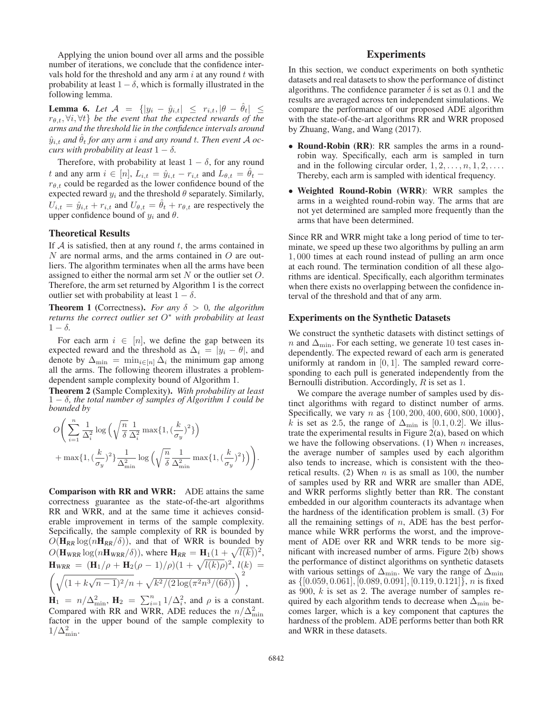Applying the union bound over all arms and the possible number of iterations, we conclude that the confidence intervals hold for the threshold and any arm  $i$  at any round  $t$  with probability at least  $1 - \delta$ , which is formally illustrated in the following lemma.

**Lemma 6.** *Let*  $A = \{ |y_i - \hat{y}_{i,t}| \leq r_{i,t}, |\theta - \theta_t| \leq r_{\theta,t}, \forall i, \forall t \}$  *be the event that the expected rewards of the arms and the threshold lie in the confidence intervals around*  $\hat{y}_{i,t}$  and  $\hat{\theta}_t$  for any arm i and any round t. Then event A oc*curs with probability at least*  $1 - \delta$ *.* 

Therefore, with probability at least  $1 - \delta$ , for any round t and any arm  $i \in [n]$ ,  $L_{i,t} = \hat{y}_{i,t} - r_{i,t}$  and  $L_{\theta,t} = \hat{\theta}_t$  $r_{\theta,t}$  could be regarded as the lower confidence bound of the expected reward  $y_i$  and the threshold  $\theta$  separately. Similarly,  $U_{i,t} = \hat{y}_{i,t} + r_{i,t}$  and  $U_{\theta,t} = \hat{\theta}_t + r_{\theta,t}$  are respectively the upper confidence bound of  $y_i$  and  $\theta$ .

### Theoretical Results

If  $A$  is satisfied, then at any round  $t$ , the arms contained in  $N$  are normal arms, and the arms contained in  $O$  are outliers. The algorithm terminates when all the arms have been assigned to either the normal arm set  $N$  or the outlier set  $O$ . Therefore, the arm set returned by Algorithm 1 is the correct outlier set with probability at least  $1 - \delta$ .

**Theorem 1** (Correctness). *For any*  $\delta > 0$ *, the algorithm returns the correct outlier set* O<sup>∗</sup> *with probability at least*  $1 - \delta$ .

For each arm  $i \in [n]$ , we define the gap between its expected reward and the threshold as  $\Delta_i = |y_i - \theta|$ , and denote by  $\Delta_{\min} = \min_{i \in [n]} \Delta_i$  the minimum gap among all the arms. The following theorem illustrates a problemdependent sample complexity bound of Algorithm 1.

Theorem 2 (Sample Complexity). *With probability at least* 1 <sup>−</sup> <sup>δ</sup>*, the total number of samples of Algorithm 1 could be bounded by*

$$
O\left(\sum_{i=1}^{n} \frac{1}{\Delta_i^2} \log \left(\sqrt{\frac{n}{\delta}} \frac{1}{\Delta_i^2} \max\{1, (\frac{k}{\sigma_y})^2\}\right) + \max\{1, (\frac{k}{\sigma_y})^2\} \frac{1}{\Delta_{\min}^2} \log \left(\sqrt{\frac{n}{\delta}} \frac{1}{\Delta_{\min}^2} \max\{1, (\frac{k}{\sigma_y})^2\}\right)\right).
$$

Comparison with RR and WRR: ADE attains the same correctness guarantee as the state-of-the-art algorithms RR and WRR, and at the same time it achieves considerable improvement in terms of the sample complexity. Sepcifically, the sample complexity of RR is bounded by  $O(\mathbf{H}_{RR} \log(n\mathbf{H}_{RR}/\delta))$ , and that of WRR is bounded by  $O(\mathbf{H}_{WRR} \log(n\mathbf{H}_{WRR}/\delta))$ , where  $\mathbf{H}_{RR} = \mathbf{H}_1(1 + \sqrt{l(k)})^2$ ,  $\mathbf{H}_{\text{WRR}} = (\mathbf{H}_1/\rho + \mathbf{H}_2(\rho - 1)/\rho)(1 + \sqrt{l(k)\rho})^2$ ,  $l(k) =$  $\left(\sqrt{(1+k\sqrt{n-1})^2/n}+\sqrt{k^2/(2\log(\pi^2 n^3/(6\delta))}\right)^2$ ,

 $\mathbf{H}_1 = n/\Delta_{\text{min}}^2$ ,  $\mathbf{H}_2 = \sum_{i=1}^n 1/\Delta_i^2$ , and  $\rho$  is a constant.<br>Compared with PP and WPP ADE reduces the  $n/\Delta^2$ . Compared with RR and WRR, ADE reduces the  $n/\Delta_{\min}^2$  factor in the upper bound of the sample complexity to factor in the upper bound of the sample complexity to  $1/\Delta_{\min}^2$ .

# **Experiments**

In this section, we conduct experiments on both synthetic datasets and real datasets to show the performance of distinct algorithms. The confidence parameter  $\delta$  is set as 0.1 and the results are averaged across ten independent simulations. We compare the performance of our proposed ADE algorithm with the state-of-the-art algorithms RR and WRR proposed by Zhuang, Wang, and Wang (2017).

- Round-Robin (RR): RR samples the arms in a roundrobin way. Specifically, each arm is sampled in turn and in the following circular order,  $1, 2, \ldots, n, 1, 2, \ldots$ . Thereby, each arm is sampled with identical frequency.
- Weighted Round-Robin (WRR): WRR samples the arms in a weighted round-robin way. The arms that are not yet determined are sampled more frequently than the arms that have been determined.

Since RR and WRR might take a long period of time to terminate, we speed up these two algorithms by pulling an arm 1, 000 times at each round instead of pulling an arm once at each round. The termination condition of all these algorithms are identical. Specifically, each algorithm terminates when there exists no overlapping between the confidence interval of the threshold and that of any arm.

### Experiments on the Synthetic Datasets

We construct the synthetic datasets with distinct settings of n and  $\Delta_{\text{min}}$ . For each setting, we generate 10 test cases independently. The expected reward of each arm is generated uniformly at random in  $[0, 1]$ . The sampled reward corresponding to each pull is generated independently from the Bernoulli distribution. Accordingly,  $R$  is set as 1.

We compare the average number of samples used by distinct algorithms with regard to distinct number of arms. Specifically, we vary *n* as  $\{100, 200, 400, 600, 800, 1000\}$ , k is set as 2.5, the range of  $\Delta_{\text{min}}$  is [0.1, 0.2]. We illustrate the experimental results in Figure 2(a), based on which we have the following observations. (1) When  $n$  increases, the average number of samples used by each algorithm also tends to increase, which is consistent with the theoretical results. (2) When  $n$  is as small as 100, the number of samples used by RR and WRR are smaller than ADE, and WRR performs slightly better than RR. The constant embedded in our algorithm counteracts its advantage when the hardness of the identification problem is small. (3) For all the remaining settings of  $n$ , ADE has the best performance while WRR performs the worst, and the improvement of ADE over RR and WRR tends to be more significant with increased number of arms. Figure 2(b) shows the performance of distinct algorithms on synthetic datasets with various settings of  $\Delta_{\text{min}}$ . We vary the range of  $\Delta_{\text{min}}$ as {[0.059, 0.061], [0.089, 0.091], [0.119, 0.121]}, <sup>n</sup> is fixed as 900, <sup>k</sup> is set as 2. The average number of samples required by each algorithm tends to decrease when  $\Delta_{\text{min}}$  becomes larger, which is a key component that captures the hardness of the problem. ADE performs better than both RR and WRR in these datasets.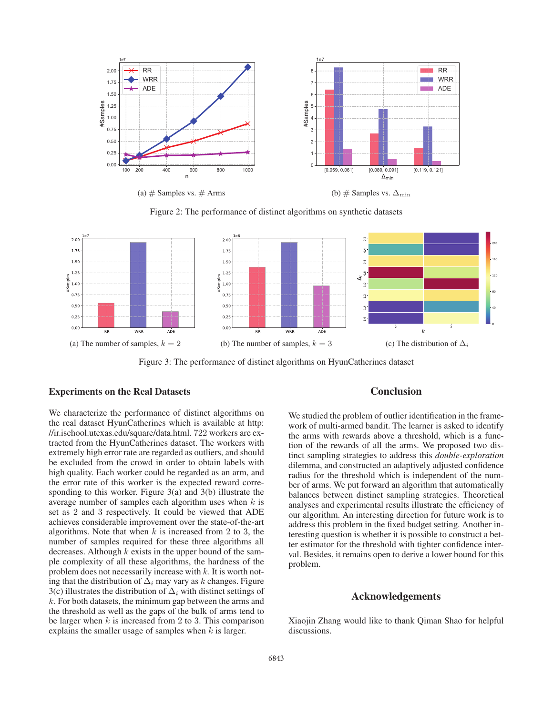

Figure 2: The performance of distinct algorithms on synthetic datasets



Figure 3: The performance of distinct algorithms on HyunCatherines dataset

# Experiments on the Real Datasets

We characterize the performance of distinct algorithms on the real dataset HyunCatherines which is available at http: //ir.ischool.utexas.edu/square/data.html. 722 workers are extracted from the HyunCatherines dataset. The workers with extremely high error rate are regarded as outliers, and should be excluded from the crowd in order to obtain labels with high quality. Each worker could be regarded as an arm, and the error rate of this worker is the expected reward corresponding to this worker. Figure 3(a) and 3(b) illustrate the average number of samples each algorithm uses when  $k$  is set as 2 and 3 respectively. It could be viewed that ADE achieves considerable improvement over the state-of-the-art algorithms. Note that when  $k$  is increased from 2 to 3, the number of samples required for these three algorithms all decreases. Although  $k$  exists in the upper bound of the sample complexity of all these algorithms, the hardness of the problem does not necessarily increase with  $k$ . It is worth noting that the distribution of  $\Delta_i$  may vary as k changes. Figure 3(c) illustrates the distribution of  $\Delta_i$  with distinct settings of  $k$ . For both datasets, the minimum gap between the arms and the threshold as well as the gaps of the bulk of arms tend to be larger when  $k$  is increased from 2 to 3. This comparison explains the smaller usage of samples when  $k$  is larger.

### Conclusion

We studied the problem of outlier identification in the framework of multi-armed bandit. The learner is asked to identify the arms with rewards above a threshold, which is a function of the rewards of all the arms. We proposed two distinct sampling strategies to address this *double-exploration* dilemma, and constructed an adaptively adjusted confidence radius for the threshold which is independent of the number of arms. We put forward an algorithm that automatically balances between distinct sampling strategies. Theoretical analyses and experimental results illustrate the efficiency of our algorithm. An interesting direction for future work is to address this problem in the fixed budget setting. Another interesting question is whether it is possible to construct a better estimator for the threshold with tighter confidence interval. Besides, it remains open to derive a lower bound for this problem.

# Acknowledgements

Xiaojin Zhang would like to thank Qiman Shao for helpful discussions.